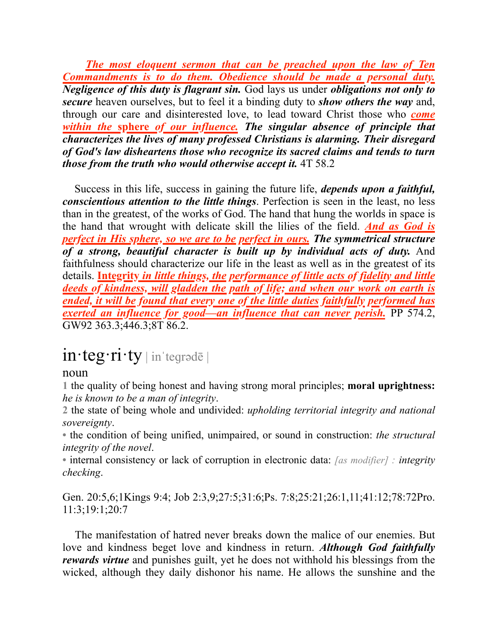*The most eloquent sermon that can be preached upon the law of Ten Commandments is to do them. Obedience should be made a personal duty. Negligence of this duty is flagrant sin.* God lays us under *obligations not only to secure* heaven ourselves, but to feel it a binding duty to *show others the way* and, through our care and disinterested love, to lead toward Christ those who *come within the* **sphere** *of our influence. The singular absence of principle that characterizes the lives of many professed Christians is alarming. Their disregard of God's law disheartens those who recognize its sacred claims and tends to turn those from the truth who would otherwise accept it.* 4T 58.2

 Success in this life, success in gaining the future life, *depends upon a faithful, conscientious attention to the little things*. Perfection is seen in the least, no less than in the greatest, of the works of God. The hand that hung the worlds in space is the hand that wrought with delicate skill the lilies of the field. *And as God is perfect in His sphere, so we are to be perfect in ours. The symmetrical structure of a strong, beautiful character is built up by individual acts of duty.* And faithfulness should characterize our life in the least as well as in the greatest of its details. **Integrity** *in little things, the performance of little acts of fidelity and little deeds of kindness, will gladden the path of life; and when our work on earth is ended, it will be found that every one of the little duties faithfully performed has exerted an influence for good—an influence that can never perish.* PP 574.2, GW92 363.3;446.3;8T 86.2.

## in·teg·ri·ty | inˈteɡrədē |

## noun

**1** the quality of being honest and having strong moral principles; **moral uprightness:** *he is known to be a man of integrity*.

**2** the state of being whole and undivided: *upholding territorial integrity and national sovereignty*.

**•** the condition of being unified, unimpaired, or sound in construction: *the structural integrity of the novel*.

**•** internal consistency or lack of corruption in electronic data: *[as modifier] : integrity checking*.

Gen. 20:5,6;1Kings 9:4; Job 2:3,9;27:5;31:6;Ps. 7:8;25:21;26:1,11;41:12;78:72Pro. 11:3;19:1;20:7

 The manifestation of hatred never breaks down the malice of our enemies. But love and kindness beget love and kindness in return. *Although God faithfully rewards virtue* and punishes guilt, yet he does not withhold his blessings from the wicked, although they daily dishonor his name. He allows the sunshine and the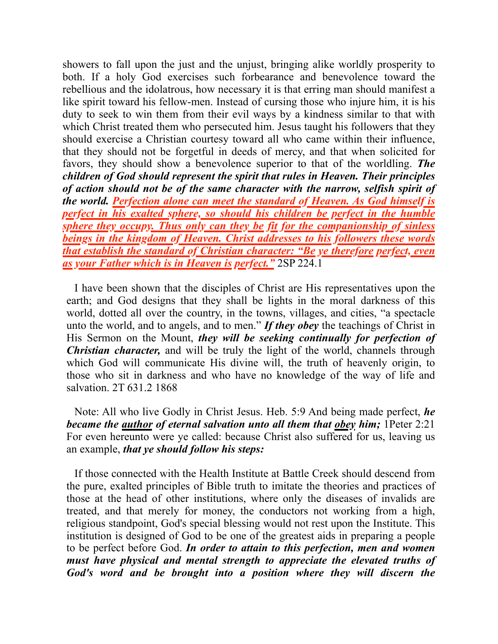showers to fall upon the just and the unjust, bringing alike worldly prosperity to both. If a holy God exercises such forbearance and benevolence toward the rebellious and the idolatrous, how necessary it is that erring man should manifest a like spirit toward his fellow-men. Instead of cursing those who injure him, it is his duty to seek to win them from their evil ways by a kindness similar to that with which Christ treated them who persecuted him. Jesus taught his followers that they should exercise a Christian courtesy toward all who came within their influence, that they should not be forgetful in deeds of mercy, and that when solicited for favors, they should show a benevolence superior to that of the worldling. *The children of God should represent the spirit that rules in Heaven. Their principles of action should not be of the same character with the narrow, selfish spirit of the world. Perfection alone can meet the standard of Heaven. As God himself is perfect in his exalted sphere, so should his children be perfect in the humble sphere they occupy. Thus only can they be fit for the companionship of sinless beings in the kingdom of Heaven. Christ addresses to his followers these words that establish the standard of Christian character: "Be ye therefore perfect, even as your Father which is in Heaven is perfect."* 2SP 224.1

I have been shown that the disciples of Christ are His representatives upon the earth; and God designs that they shall be lights in the moral darkness of this world, dotted all over the country, in the towns, villages, and cities, "a spectacle unto the world, and to angels, and to men." *If they obey* the teachings of Christ in His Sermon on the Mount, *they will be seeking continually for perfection of Christian character,* and will be truly the light of the world, channels through which God will communicate His divine will, the truth of heavenly origin, to those who sit in darkness and who have no knowledge of the way of life and salvation. 2T 631.2 1868

Note: All who live Godly in Christ Jesus. Heb. 5:9 And being made perfect, *he became the author of eternal salvation unto all them that obey him;* 1Peter 2:21 For even hereunto were ye called: because Christ also suffered for us, leaving us an example, *that ye should follow his steps:*

If those connected with the Health Institute at Battle Creek should descend from the pure, exalted principles of Bible truth to imitate the theories and practices of those at the head of other institutions, where only the diseases of invalids are treated, and that merely for money, the conductors not working from a high, religious standpoint, God's special blessing would not rest upon the Institute. This institution is designed of God to be one of the greatest aids in preparing a people to be perfect before God. *In order to attain to this perfection, men and women must have physical and mental strength to appreciate the elevated truths of God's word and be brought into a position where they will discern the*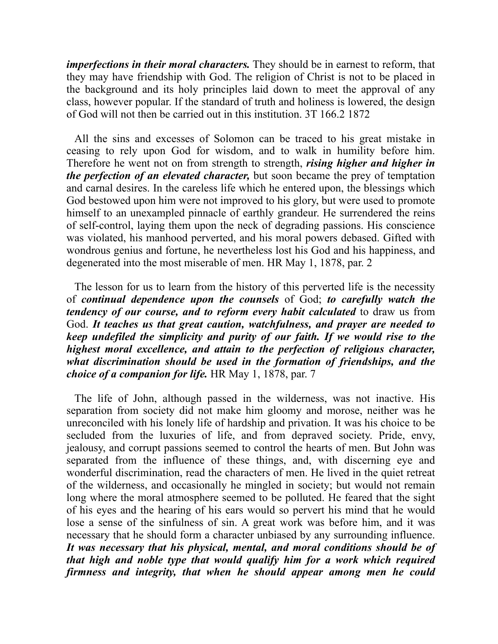*imperfections in their moral characters.* They should be in earnest to reform, that they may have friendship with God. The religion of Christ is not to be placed in the background and its holy principles laid down to meet the approval of any class, however popular. If the standard of truth and holiness is lowered, the design of God will not then be carried out in this institution. 3T 166.2 1872

All the sins and excesses of Solomon can be traced to his great mistake in ceasing to rely upon God for wisdom, and to walk in humility before him. Therefore he went not on from strength to strength, *rising higher and higher in the perfection of an elevated character,* but soon became the prey of temptation and carnal desires. In the careless life which he entered upon, the blessings which God bestowed upon him were not improved to his glory, but were used to promote himself to an unexampled pinnacle of earthly grandeur. He surrendered the reins of self-control, laying them upon the neck of degrading passions. His conscience was violated, his manhood perverted, and his moral powers debased. Gifted with wondrous genius and fortune, he nevertheless lost his God and his happiness, and degenerated into the most miserable of men. HR May 1, 1878, par. 2

The lesson for us to learn from the history of this perverted life is the necessity of *continual dependence upon the counsels* of God; *to carefully watch the tendency of our course, and to reform every habit calculated* to draw us from God. *It teaches us that great caution, watchfulness, and prayer are needed to keep undefiled the simplicity and purity of our faith. If we would rise to the highest moral excellence, and attain to the perfection of religious character, what discrimination should be used in the formation of friendships, and the choice of a companion for life.* HR May 1, 1878, par. 7

The life of John, although passed in the wilderness, was not inactive. His separation from society did not make him gloomy and morose, neither was he unreconciled with his lonely life of hardship and privation. It was his choice to be secluded from the luxuries of life, and from depraved society. Pride, envy, jealousy, and corrupt passions seemed to control the hearts of men. But John was separated from the influence of these things, and, with discerning eye and wonderful discrimination, read the characters of men. He lived in the quiet retreat of the wilderness, and occasionally he mingled in society; but would not remain long where the moral atmosphere seemed to be polluted. He feared that the sight of his eyes and the hearing of his ears would so pervert his mind that he would lose a sense of the sinfulness of sin. A great work was before him, and it was necessary that he should form a character unbiased by any surrounding influence. *It was necessary that his physical, mental, and moral conditions should be of that high and noble type that would qualify him for a work which required firmness and integrity, that when he should appear among men he could*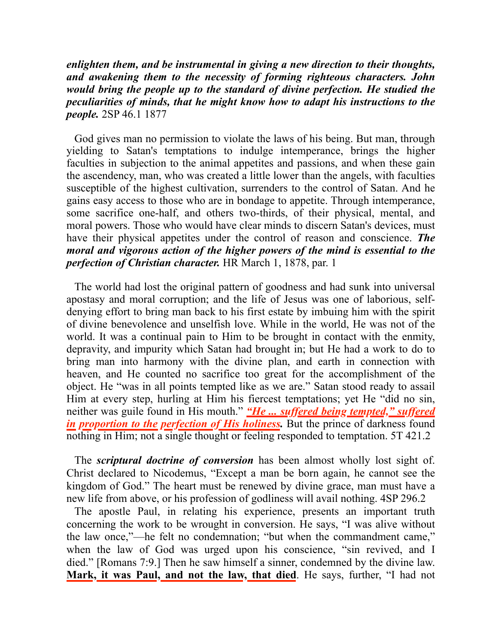*enlighten them, and be instrumental in giving a new direction to their thoughts, and awakening them to the necessity of forming righteous characters. John would bring the people up to the standard of divine perfection. He studied the peculiarities of minds, that he might know how to adapt his instructions to the people.* 2SP 46.1 1877

God gives man no permission to violate the laws of his being. But man, through yielding to Satan's temptations to indulge intemperance, brings the higher faculties in subjection to the animal appetites and passions, and when these gain the ascendency, man, who was created a little lower than the angels, with faculties susceptible of the highest cultivation, surrenders to the control of Satan. And he gains easy access to those who are in bondage to appetite. Through intemperance, some sacrifice one-half, and others two-thirds, of their physical, mental, and moral powers. Those who would have clear minds to discern Satan's devices, must have their physical appetites under the control of reason and conscience. *The moral and vigorous action of the higher powers of the mind is essential to the perfection of Christian character.* HR March 1, 1878, par. 1

The world had lost the original pattern of goodness and had sunk into universal apostasy and moral corruption; and the life of Jesus was one of laborious, selfdenying effort to bring man back to his first estate by imbuing him with the spirit of divine benevolence and unselfish love. While in the world, He was not of the world. It was a continual pain to Him to be brought in contact with the enmity, depravity, and impurity which Satan had brought in; but He had a work to do to bring man into harmony with the divine plan, and earth in connection with heaven, and He counted no sacrifice too great for the accomplishment of the object. He "was in all points tempted like as we are." Satan stood ready to assail Him at every step, hurling at Him his fiercest temptations; yet He "did no sin, neither was guile found in His mouth." *"He ... suffered being tempted," suffered in proportion to the perfection of His holiness*. But the prince of darkness found nothing in Him; not a single thought or feeling responded to temptation. 5T 421.2

The *scriptural doctrine of conversion* has been almost wholly lost sight of. Christ declared to Nicodemus, "Except a man be born again, he cannot see the kingdom of God." The heart must be renewed by divine grace, man must have a new life from above, or his profession of godliness will avail nothing. 4SP 296.2

The apostle Paul, in relating his experience, presents an important truth concerning the work to be wrought in conversion. He says, "I was alive without the law once,"—he felt no condemnation; "but when the commandment came," when the law of God was urged upon his conscience, "sin revived, and I died." [\[Romans 7:9](1965.57301).] Then he saw himself a sinner, condemned by the divine law. **Mark, it was Paul, and not the law, that died**. He says, further, "I had not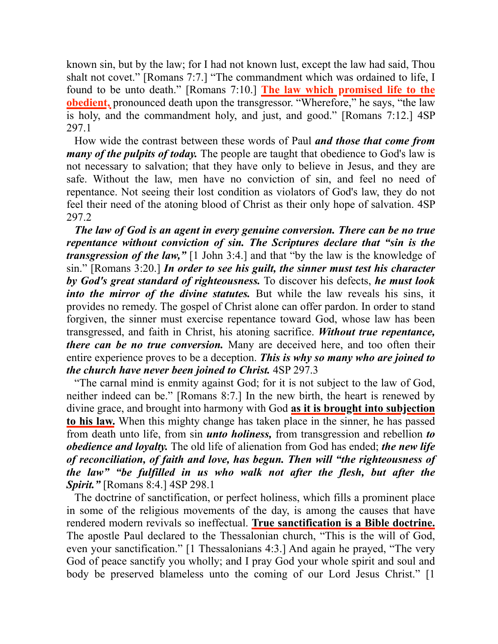known sin, but by the law; for I had not known lust, except the law had said, Thou shalt not covet." [[Romans 7:7](1965.57297).] "The commandment which was ordained to life, I found to be unto death." [[Romans 7:10.](1965.57303)] **The law which promised life to the obedient**, pronounced death upon the transgressor. "Wherefore," he says, "the law is holy, and the commandment holy, and just, and good." [[Romans 7:12.](1965.57307)] 4SP 297.1

How wide the contrast between these words of Paul *and those that come from many of the pulpits of today.* The people are taught that obedience to God's law is not necessary to salvation; that they have only to believe in Jesus, and they are safe. Without the law, men have no conviction of sin, and feel no need of repentance. Not seeing their lost condition as violators of God's law, they do not feel their need of the atoning blood of Christ as their only hope of salvation. 4SP 297.2

*The law of God is an agent in every genuine conversion. There can be no true repentance without conviction of sin. The Scriptures declare that "sin is the transgression of the law,"* [\[1 John 3:4.](1965.62393)] and that "by the law is the knowledge of sin." [[Romans 3:20](1965.57119).] *In order to see his guilt, the sinner must test his character by God's great standard of righteousness.* To discover his defects, *he must look into the mirror of the divine statutes.* But while the law reveals his sins, it provides no remedy. The gospel of Christ alone can offer pardon. In order to stand forgiven, the sinner must exercise repentance toward God, whose law has been transgressed, and faith in Christ, his atoning sacrifice. *Without true repentance, there can be no true conversion.* Many are deceived here, and too often their entire experience proves to be a deception. *This is why so many who are joined to the church have never been joined to Christ.* 4SP 297.3

"The carnal mind is enmity against God; for it is not subject to the law of God, neither indeed can be." [[Romans 8:7](1965.57348).] In the new birth, the heart is renewed by divine grace, and brought into harmony with God **as it is brought into subjection to his law.** When this mighty change has taken place in the sinner, he has passed from death unto life, from sin *unto holiness,* from transgression and rebellion *to obedience and loyalty.* The old life of alienation from God has ended; *the new life of reconciliation, of faith and love, has begun. Then will "the righteousness of the law" "be fulfilled in us who walk not after the flesh, but after the Spirit."* [\[Romans 8:4](1965.57342).] 4SP 298.1

The doctrine of sanctification, or perfect holiness, which fills a prominent place in some of the religious movements of the day, is among the causes that have rendered modern revivals so ineffectual. **True sanctification is a Bible doctrine.** The apostle Paul declared to the Thessalonian church, "This is the will of God, even your sanctification." [\[1 Thessalonians 4:3.](1965.60382)] And again he prayed, "The very God of peace sanctify you wholly; and I pray God your whole spirit and soul and body be preserved blameless unto the coming of our Lord Jesus Christ." [\[1](1965.60459)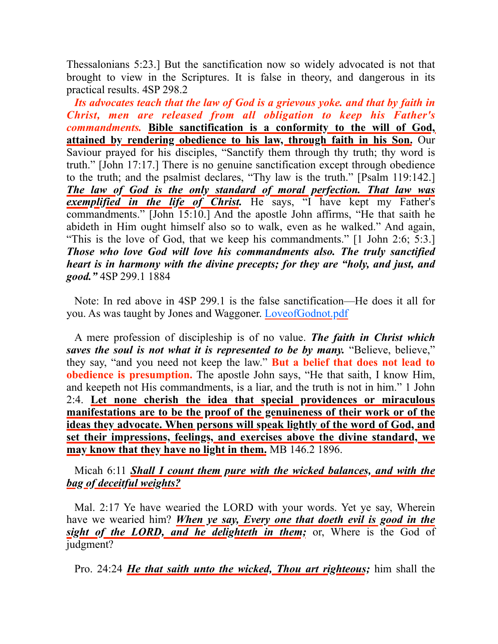[Thessalonians 5:23](1965.60459).] But the sanctification now so widely advocated is not that brought to view in the Scriptures. It is false in theory, and dangerous in its practical results. 4SP 298.2

Its advocates teach that the law of God is a grievous yoke, and that by faith in *Christ, men are released from all obligation to keep his Father's commandments.* **Bible sanctification is a conformity to the will of God, attained by rendering obedience to his law, through faith in his Son.** Our Saviour prayed for his disciples, "Sanctify them through thy truth; thy word is truth." [\[John 17:17](1965.54612).] There is no genuine sanctification except through obedience to the truth; and the psalmist declares, "Thy law is the truth." [\[Psalm 119:142](1965.32699).] *The law of God is the only standard of moral perfection. That law was exemplified in the life of Christ.* He says, "I have kept my Father's commandments." [\[John 15:10](1965.54476).] And the apostle John affirms, "He that saith he abideth in Him ought himself also so to walk, even as he walked." And again, "This is the love of God, that we keep his commandments." [\[1 John 2:6](1965.62338); [5:3](1965.62483).] *Those who love God will love his commandments also. The truly sanctified heart is in harmony with the divine precepts; for they are "holy, and just, and good."* 4SP 299.1 1884

Note: In red above in 4SP 299.1 is the false sanctification—He does it all for you. As was taught by Jones and Waggoner. [LoveofGodnot.pdf](https://sdapillars.org/media/LoveofGodnot.pdf)

A mere profession of discipleship is of no value. *The faith in Christ which saves the soul is not what it is represented to be by many.* "Believe, believe," they say, "and you need not keep the law." **But a belief that does not lead to obedience is presumption.** The apostle John says, "He that saith, I know Him, and keepeth not His commandments, is a liar, and the truth is not in him." [1 John](1965.62334) [2:4](1965.62334). **Let none cherish the idea that special providences or miraculous manifestations are to be the proof of the genuineness of their work or of the ideas they advocate. When persons will speak lightly of the word of God, and set their impressions, feelings, and exercises above the divine standard, we may know that they have no light in them.** MB 146.2 1896.

Micah 6:11 *Shall I count them pure with the wicked balances, and with the bag of deceitful weights?*

Mal. 2:17 Ye have wearied the LORD with your words. Yet ye say, Wherein have we wearied him? *When ye say, Every one that doeth evil is good in the sight of the LORD, and he delighteth in them;* or, Where is the God of judgment?

Pro. 24:24 *He that saith unto the wicked, Thou art righteous;* him shall the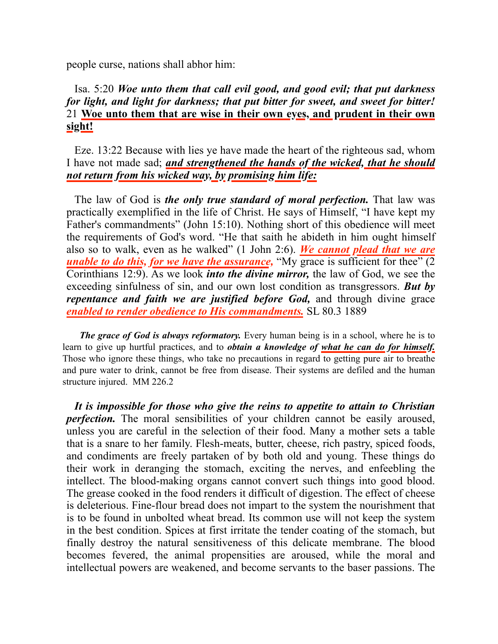people curse, nations shall abhor him:

## Isa. 5:20 *Woe unto them that call evil good, and good evil; that put darkness for light, and light for darkness; that put bitter for sweet, and sweet for bitter!* 21 **Woe unto them that are wise in their own eyes, and prudent in their own sight!**

Eze. 13:22 Because with lies ye have made the heart of the righteous sad, whom I have not made sad; *and strengthened the hands of the wicked, that he should not return from his wicked way, by promising him life:*

The law of God is *the only true standard of moral perfection.* That law was practically exemplified in the life of Christ. He says of Himself, "I have kept my Father's commandments" [\(John 15:10](1965.54476)). Nothing short of this obedience will meet the requirements of God's word. "He that saith he abideth in him ought himself also so to walk, even as he walked" ([1 John 2:6\)](1965.62338). *We cannot plead that we are unable to do this, for we have the assurance*, "My grace is sufficient for thee" [\(2](1965.59202)) [Corinthians 12:9](1965.59202)). As we look *into the divine mirror,* the law of God, we see the exceeding sinfulness of sin, and our own lost condition as transgressors. *But by repentance and faith we are justified before God,* and through divine grace *enabled to render obedience to His commandments.* SL 80.3 1889

 *The grace of God is always reformatory.* Every human being is in a school, where he is to learn to give up hurtful practices, and to *obtain a knowledge of what he can do for himself.* Those who ignore these things, who take no precautions in regard to getting pure air to breathe and pure water to drink, cannot be free from disease. Their systems are defiled and the human structure injured. MM 226.2

*It is impossible for those who give the reins to appetite to attain to Christian perfection*. The moral sensibilities of your children cannot be easily aroused, unless you are careful in the selection of their food. Many a mother sets a table that is a snare to her family. Flesh-meats, butter, cheese, rich pastry, spiced foods, and condiments are freely partaken of by both old and young. These things do their work in deranging the stomach, exciting the nerves, and enfeebling the intellect. The blood-making organs cannot convert such things into good blood. The grease cooked in the food renders it difficult of digestion. The effect of cheese is deleterious. Fine-flour bread does not impart to the system the nourishment that is to be found in unbolted wheat bread. Its common use will not keep the system in the best condition. Spices at first irritate the tender coating of the stomach, but finally destroy the natural sensitiveness of this delicate membrane. The blood becomes fevered, the animal propensities are aroused, while the moral and intellectual powers are weakened, and become servants to the baser passions. The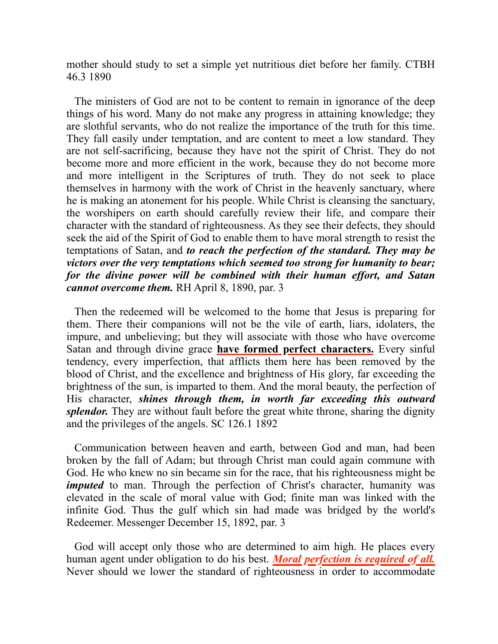mother should study to set a simple yet nutritious diet before her family. CTBH 46.3 1890

The ministers of God are not to be content to remain in ignorance of the deep things of his word. Many do not make any progress in attaining knowledge; they are slothful servants, who do not realize the importance of the truth for this time. They fall easily under temptation, and are content to meet a low standard. They are not self-sacrificing, because they have not the spirit of Christ. They do not become more and more efficient in the work, because they do not become more and more intelligent in the Scriptures of truth. They do not seek to place themselves in harmony with the work of Christ in the heavenly sanctuary, where he is making an atonement for his people. While Christ is cleansing the sanctuary, the worshipers on earth should carefully review their life, and compare their character with the standard of righteousness. As they see their defects, they should seek the aid of the Spirit of God to enable them to have moral strength to resist the temptations of Satan, and *to reach the perfection of the standard. They may be victors over the very temptations which seemed too strong for humanity to bear; for the divine power will be combined with their human effort, and Satan cannot overcome them.* RH April 8, 1890, par. 3

Then the redeemed will be welcomed to the home that Jesus is preparing for them. There their companions will not be the vile of earth, liars, idolaters, the impure, and unbelieving; but they will associate with those who have overcome Satan and through divine grace **have formed perfect characters.** Every sinful tendency, every imperfection, that afflicts them here has been removed by the blood of Christ, and the excellence and brightness of His glory, far exceeding the brightness of the sun, is imparted to them. And the moral beauty, the perfection of His character, *shines through them, in worth far exceeding this outward splendor.* They are without fault before the great white throne, sharing the dignity and the privileges of the angels. SC 126.1 1892

Communication between heaven and earth, between God and man, had been broken by the fall of Adam; but through Christ man could again commune with God. He who knew no sin became sin for the race, that his righteousness might be *imputed* to man. Through the perfection of Christ's character, humanity was elevated in the scale of moral value with God; finite man was linked with the infinite God. Thus the gulf which sin had made was bridged by the world's Redeemer. Messenger December 15, 1892, par. 3

God will accept only those who are determined to aim high. He places every human agent under obligation to do his best. *Moral perfection is required of all.* Never should we lower the standard of righteousness in order to accommodate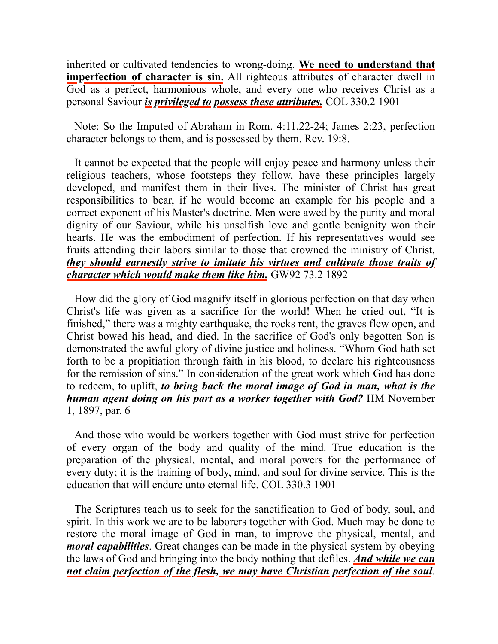inherited or cultivated tendencies to wrong-doing. **We need to understand that imperfection of character is sin.** All righteous attributes of character dwell in God as a perfect, harmonious whole, and every one who receives Christ as a personal Saviour *is privileged to possess these attributes.* COL 330.2 1901

Note: So the Imputed of Abraham in Rom. 4:11,22-24; James 2:23, perfection character belongs to them, and is possessed by them. Rev. 19:8.

It cannot be expected that the people will enjoy peace and harmony unless their religious teachers, whose footsteps they follow, have these principles largely developed, and manifest them in their lives. The minister of Christ has great responsibilities to bear, if he would become an example for his people and a correct exponent of his Master's doctrine. Men were awed by the purity and moral dignity of our Saviour, while his unselfish love and gentle benignity won their hearts. He was the embodiment of perfection. If his representatives would see fruits attending their labors similar to those that crowned the ministry of Christ, *they should earnestly strive to imitate his virtues and cultivate those traits of character which would make them like him.* GW92 73.2 1892

How did the glory of God magnify itself in glorious perfection on that day when Christ's life was given as a sacrifice for the world! When he cried out, "It is finished," there was a mighty earthquake, the rocks rent, the graves flew open, and Christ bowed his head, and died. In the sacrifice of God's only begotten Son is demonstrated the awful glory of divine justice and holiness. "Whom God hath set forth to be a propitiation through faith in his blood, to declare his righteousness for the remission of sins." In consideration of the great work which God has done to redeem, to uplift, *to bring back the moral image of God in man, what is the human agent doing on his part as a worker together with God?* HM November 1, 1897, par. 6

And those who would be workers together with God must strive for perfection of every organ of the body and quality of the mind. True education is the preparation of the physical, mental, and moral powers for the performance of every duty; it is the training of body, mind, and soul for divine service. This is the education that will endure unto eternal life. COL 330.3 1901

The Scriptures teach us to seek for the sanctification to God of body, soul, and spirit. In this work we are to be laborers together with God. Much may be done to restore the moral image of God in man, to improve the physical, mental, and *moral capabilities*. Great changes can be made in the physical system by obeying the laws of God and bringing into the body nothing that defiles. *And while we can not claim perfection of the flesh, we may have Christian perfection of the soul*.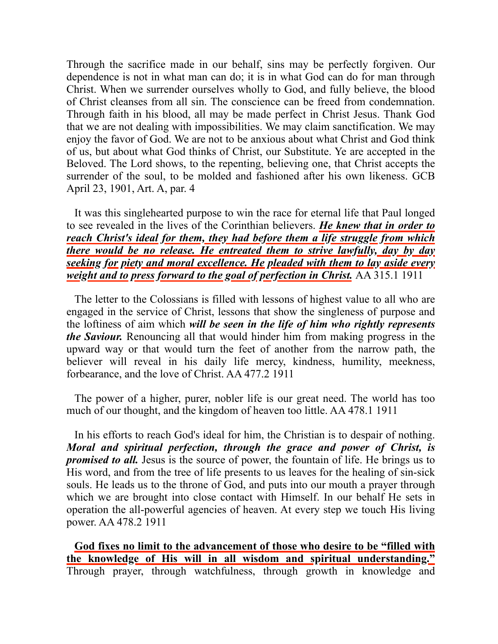Through the sacrifice made in our behalf, sins may be perfectly forgiven. Our dependence is not in what man can do; it is in what God can do for man through Christ. When we surrender ourselves wholly to God, and fully believe, the blood of Christ cleanses from all sin. The conscience can be freed from condemnation. Through faith in his blood, all may be made perfect in Christ Jesus. Thank God that we are not dealing with impossibilities. We may claim sanctification. We may enjoy the favor of God. We are not to be anxious about what Christ and God think of us, but about what God thinks of Christ, our Substitute. Ye are accepted in the Beloved. The Lord shows, to the repenting, believing one, that Christ accepts the surrender of the soul, to be molded and fashioned after his own likeness. GCB April 23, 1901, Art. A, par. 4

It was this singlehearted purpose to win the race for eternal life that Paul longed to see revealed in the lives of the Corinthian believers. *He knew that in order to reach Christ's ideal for them, they had before them a life struggle from which there would be no release. He entreated them to strive lawfully, day by day seeking for piety and moral excellence. He pleaded with them to lay aside every weight and to press forward to the goal of perfection in Christ.* AA 315.1 1911

The letter to the Colossians is filled with lessons of highest value to all who are engaged in the service of Christ, lessons that show the singleness of purpose and the loftiness of aim which *will be seen in the life of him who rightly represents the Saviour.* Renouncing all that would hinder him from making progress in the upward way or that would turn the feet of another from the narrow path, the believer will reveal in his daily life mercy, kindness, humility, meekness, forbearance, and the love of Christ. AA 477.2 1911

The power of a higher, purer, nobler life is our great need. The world has too much of our thought, and the kingdom of heaven too little. AA 478.1 1911

In his efforts to reach God's ideal for him, the Christian is to despair of nothing. *Moral and spiritual perfection, through the grace and power of Christ, is promised to all.* Jesus is the source of power, the fountain of life. He brings us to His word, and from the tree of life presents to us leaves for the healing of sin-sick souls. He leads us to the throne of God, and puts into our mouth a prayer through which we are brought into close contact with Himself. In our behalf He sets in operation the all-powerful agencies of heaven. At every step we touch His living power. AA 478.2 1911

**God fixes no limit to the advancement of those who desire to be "filled with the knowledge of His will in all wisdom and spiritual understanding."** Through prayer, through watchfulness, through growth in knowledge and